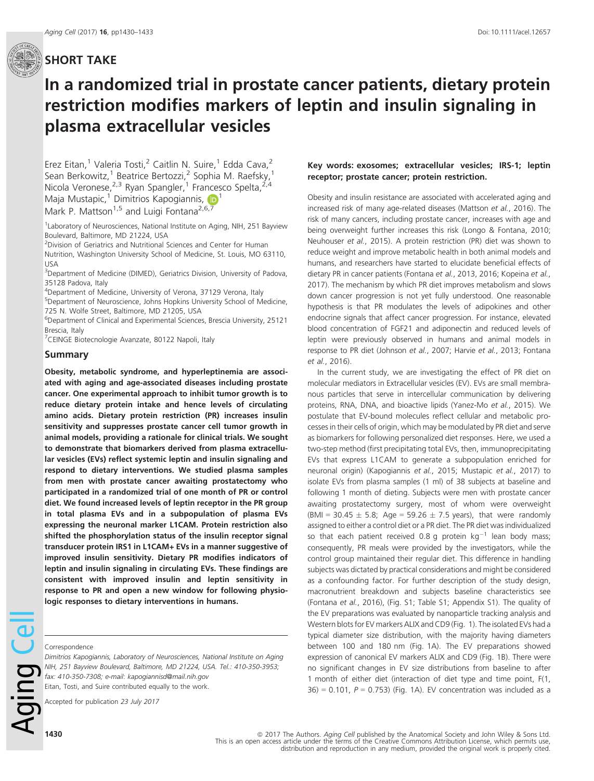### SHORT TAKE

## In a randomized trial in prostate cancer patients, dietary protein restriction modifies markers of leptin and insulin signaling in plasma extracellular vesicles

Erez Eitan,<sup>1</sup> Valeria Tosti,<sup>2</sup> Caitlin N. Suire,<sup>1</sup> Edda Cava,<sup>2</sup> Sean Berkowitz,<sup>1</sup> Beatrice Bertozzi,<sup>2</sup> Sophia M. Raefsky,<sup>1</sup> Nicola Veronese,<sup>2,3</sup> Ryan Spangler,<sup>1</sup> Francesco Spelta,<sup>2,4</sup> Maja Mustapic,<sup>1</sup> Dimitrios Kapogiannis, 1 Mark P. Mattson<sup>1,5</sup> and Luigi Fontana<sup>2,[6,7](http://orcid.org/0000-0003-2181-3118)</sup>

<sup>1</sup> Laboratory of Neurosciences, National Institute on Aging, NIH, 251 Bayview Boulevard, Baltimore, MD 21224, USA

<sup>2</sup>Division of Geriatrics and Nutritional Sciences and Center for Human Nutrition, Washington University School of Medicine, St. Louis, MO 63110, USA

<sup>3</sup>Department of Medicine (DIMED), Geriatrics Division, University of Padova, 35128 Padova, Italy

4 Department of Medicine, University of Verona, 37129 Verona, Italy

<sup>5</sup>Department of Neuroscience, Johns Hopkins University School of Medicine, 725 N. Wolfe Street, Baltimore, MD 21205, USA

6 Department of Clinical and Experimental Sciences, Brescia University, 25121 Brescia, Italy

<sup>7</sup>CEINGE Biotecnologie Avanzate, 80122 Napoli, Italy

#### Summary

Obesity, metabolic syndrome, and hyperleptinemia are associated with aging and age-associated diseases including prostate cancer. One experimental approach to inhibit tumor growth is to reduce dietary protein intake and hence levels of circulating amino acids. Dietary protein restriction (PR) increases insulin sensitivity and suppresses prostate cancer cell tumor growth in animal models, providing a rationale for clinical trials. We sought to demonstrate that biomarkers derived from plasma extracellular vesicles (EVs) reflect systemic leptin and insulin signaling and respond to dietary interventions. We studied plasma samples from men with prostate cancer awaiting prostatectomy who participated in a randomized trial of one month of PR or control diet. We found increased levels of leptin receptor in the PR group in total plasma EVs and in a subpopulation of plasma EVs expressing the neuronal marker L1CAM. Protein restriction also shifted the phosphorylation status of the insulin receptor signal transducer protein IRS1 in L1CAM+ EVs in a manner suggestive of improved insulin sensitivity. Dietary PR modifies indicators of leptin and insulin signaling in circulating EVs. These findings are consistent with improved insulin and leptin sensitivity in response to PR and open a new window for following physiologic responses to dietary interventions in humans.

Correspondence

Dimitrios Kapogiannis, Laboratory of Neurosciences, National Institute on Aging NIH, 251 Bayview Boulevard, Baltimore, MD 21224, USA. Tel.: 410-350-3953; fax: 410-350-7308; e-mail: kapogiannisd@mail.nih.gov Eitan, Tosti, and Suire contributed equally to the work.

Accepted for publication 23 July 2017

# Key words: exosomes; extracellular vesicles; IRS-1; leptin

receptor; prostate cancer; protein restriction.

Obesity and insulin resistance are associated with accelerated aging and increased risk of many age-related diseases (Mattson et al., 2016). The risk of many cancers, including prostate cancer, increases with age and being overweight further increases this risk (Longo & Fontana, 2010; Neuhouser et al., 2015). A protein restriction (PR) diet was shown to reduce weight and improve metabolic health in both animal models and humans, and researchers have started to elucidate beneficial effects of dietary PR in cancer patients (Fontana et al., 2013, 2016; Kopeina et al., 2017). The mechanism by which PR diet improves metabolism and slows down cancer progression is not yet fully understood. One reasonable hypothesis is that PR modulates the levels of adipokines and other endocrine signals that affect cancer progression. For instance, elevated blood concentration of FGF21 and adiponectin and reduced levels of leptin were previously observed in humans and animal models in response to PR diet (Johnson et al., 2007; Harvie et al., 2013; Fontana et al., 2016).

In the current study, we are investigating the effect of PR diet on molecular mediators in Extracellular vesicles (EV). EVs are small membranous particles that serve in intercellular communication by delivering proteins, RNA, DNA, and bioactive lipids (Yanez-Mo et al., 2015). We postulate that EV-bound molecules reflect cellular and metabolic processes in their cells of origin, which may be modulated by PR diet and serve as biomarkers for following personalized diet responses. Here, we used a two-step method (first precipitating total EVs, then, immunoprecipitating EVs that express L1CAM to generate a subpopulation enriched for neuronal origin) (Kapogiannis et al., 2015; Mustapic et al., 2017) to isolate EVs from plasma samples (1 ml) of 38 subjects at baseline and following 1 month of dieting. Subjects were men with prostate cancer awaiting prostatectomy surgery, most of whom were overweight (BMI = 30.45  $\pm$  5.8; Age = 59.26  $\pm$  7.5 years), that were randomly assigned to either a control diet or a PR diet. The PR diet was individualized so that each patient received 0.8 g protein  $kg^{-1}$  lean body mass; consequently, PR meals were provided by the investigators, while the control group maintained their regular diet. This difference in handling subjects was dictated by practical considerations and might be considered as a confounding factor. For further description of the study design, macronutrient breakdown and subjects baseline characteristics see (Fontana et al., 2016), (Fig. S1; Table S1; Appendix S1). The quality of the EV preparations was evaluated by nanoparticle tracking analysis and Western blots for EV markers ALIX and CD9 (Fig. 1). The isolated EVs had a typical diameter size distribution, with the majority having diameters between 100 and 180 nm (Fig. 1A). The EV preparations showed expression of canonical EV markers ALIX and CD9 (Fig. 1B). There were no significant changes in EV size distributions from baseline to after 1 month of either diet (interaction of diet type and time point, F(1,  $36$ ) = 0.101,  $P = 0.753$ ) (Fig. 1A). EV concentration was included as a

Aging Ce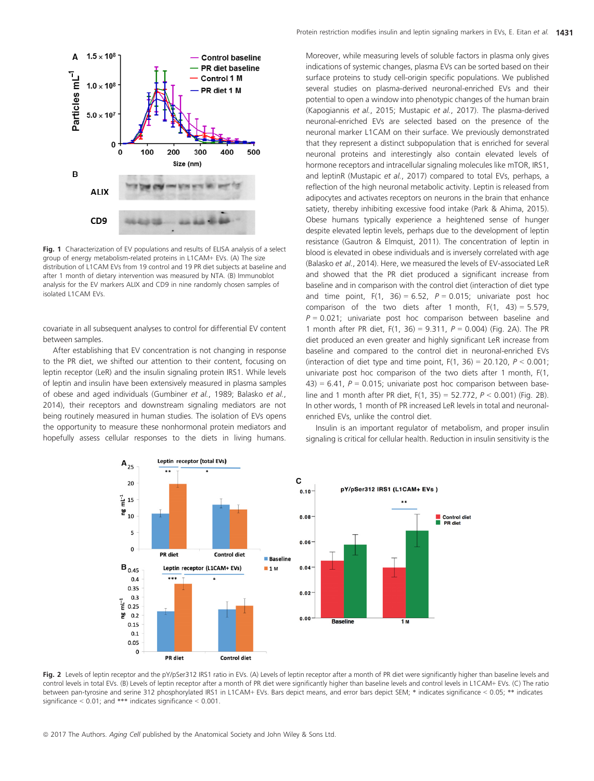

Fig. 1 Characterization of EV populations and results of ELISA analysis of a select group of energy metabolism-related proteins in L1CAM+ EVs. (A) The size distribution of L1CAM EVs from 19 control and 19 PR diet subjects at baseline and after 1 month of dietary intervention was measured by NTA. (B) Immunoblot analysis for the EV markers ALIX and CD9 in nine randomly chosen samples of isolated L1CAM EVs.

covariate in all subsequent analyses to control for differential EV content between samples.

After establishing that EV concentration is not changing in response to the PR diet, we shifted our attention to their content, focusing on leptin receptor (LeR) and the insulin signaling protein IRS1. While levels of leptin and insulin have been extensively measured in plasma samples of obese and aged individuals (Gumbiner et al., 1989; Balasko et al., 2014), their receptors and downstream signaling mediators are not being routinely measured in human studies. The isolation of EVs opens the opportunity to measure these nonhormonal protein mediators and hopefully assess cellular responses to the diets in living humans.

Moreover, while measuring levels of soluble factors in plasma only gives indications of systemic changes, plasma EVs can be sorted based on their surface proteins to study cell-origin specific populations. We published several studies on plasma-derived neuronal-enriched EVs and their potential to open a window into phenotypic changes of the human brain (Kapogiannis et al., 2015; Mustapic et al., 2017). The plasma-derived neuronal-enriched EVs are selected based on the presence of the neuronal marker L1CAM on their surface. We previously demonstrated that they represent a distinct subpopulation that is enriched for several neuronal proteins and interestingly also contain elevated levels of hormone receptors and intracellular signaling molecules like mTOR, IRS1, and leptinR (Mustapic et al., 2017) compared to total EVs, perhaps, a reflection of the high neuronal metabolic activity. Leptin is released from adipocytes and activates receptors on neurons in the brain that enhance satiety, thereby inhibiting excessive food intake (Park & Ahima, 2015). Obese humans typically experience a heightened sense of hunger despite elevated leptin levels, perhaps due to the development of leptin resistance (Gautron & Elmquist, 2011). The concentration of leptin in blood is elevated in obese individuals and is inversely correlated with age (Balasko et al., 2014). Here, we measured the levels of EV-associated LeR and showed that the PR diet produced a significant increase from baseline and in comparison with the control diet (interaction of diet type and time point,  $F(1, 36) = 6.52$ ,  $P = 0.015$ ; univariate post hoc comparison of the two diets after 1 month,  $F(1, 43) = 5.579$ .  $P = 0.021$ ; univariate post hoc comparison between baseline and 1 month after PR diet,  $F(1, 36) = 9.311$ ,  $P = 0.004$ ) (Fig. 2A). The PR diet produced an even greater and highly significant LeR increase from baseline and compared to the control diet in neuronal-enriched EVs (interaction of diet type and time point,  $F(1, 36) = 20.120$ ,  $P < 0.001$ ; univariate post hoc comparison of the two diets after 1 month, F(1,  $43$ ) = 6.41, P = 0.015; univariate post hoc comparison between baseline and 1 month after PR diet,  $F(1, 35) = 52.772$ ,  $P < 0.001$ ) (Fig. 2B). In other words, 1 month of PR increased LeR levels in total and neuronalenriched EVs, unlike the control diet.

Insulin is an important regulator of metabolism, and proper insulin signaling is critical for cellular health. Reduction in insulin sensitivity is the



Fig. 2 Levels of leptin receptor and the pY/pSer312 IRS1 ratio in EVs. (A) Levels of leptin receptor after a month of PR diet were significantly higher than baseline levels and control levels in total EVs. (B) Levels of leptin receptor after a month of PR diet were significantly higher than baseline levels and control levels in L1CAM+ EVs. (C) The ratio between pan-tyrosine and serine 312 phosphorylated IRS1 in L1CAM+ EVs. Bars depict means, and error bars depict SEM; \* indicates significance < 0.05; \*\* indicates significance < 0.01; and \*\*\* indicates significance < 0.001.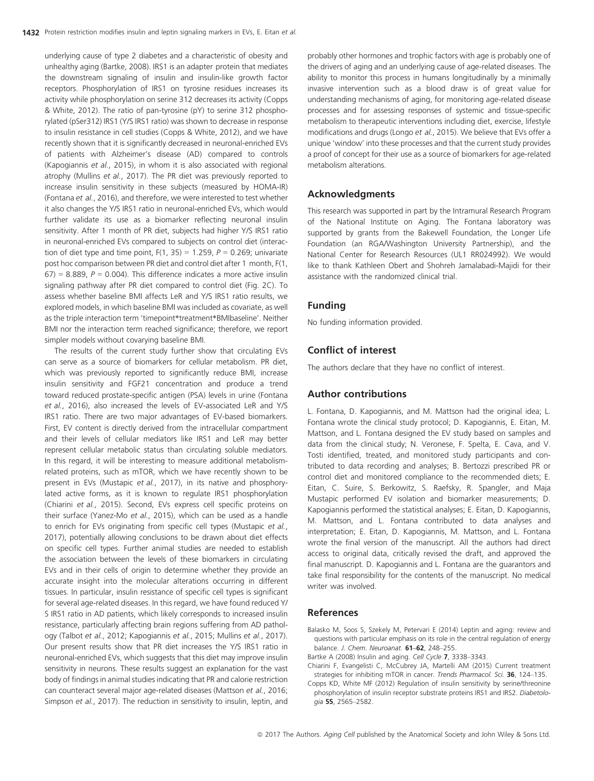underlying cause of type 2 diabetes and a characteristic of obesity and unhealthy aging (Bartke, 2008). IRS1 is an adapter protein that mediates the downstream signaling of insulin and insulin-like growth factor receptors. Phosphorylation of IRS1 on tyrosine residues increases its activity while phosphorylation on serine 312 decreases its activity (Copps & White, 2012). The ratio of pan-tyrosine (pY) to serine 312 phosphorylated (pSer312) IRS1 (Y/S IRS1 ratio) was shown to decrease in response to insulin resistance in cell studies (Copps & White, 2012), and we have recently shown that it is significantly decreased in neuronal-enriched EVs of patients with Alzheimer's disease (AD) compared to controls (Kapogiannis et al., 2015), in whom it is also associated with regional atrophy (Mullins et al., 2017). The PR diet was previously reported to increase insulin sensitivity in these subjects (measured by HOMA-IR) (Fontana et al., 2016), and therefore, we were interested to test whether it also changes the Y/S IRS1 ratio in neuronal-enriched EVs, which would further validate its use as a biomarker reflecting neuronal insulin sensitivity. After 1 month of PR diet, subjects had higher Y/S IRS1 ratio in neuronal-enriched EVs compared to subjects on control diet (interaction of diet type and time point,  $F(1, 35) = 1.259$ ,  $P = 0.269$ ; univariate post hoc comparison between PR diet and control diet after 1 month, F(1, 67) = 8.889,  $P = 0.004$ ). This difference indicates a more active insulin signaling pathway after PR diet compared to control diet (Fig. 2C). To assess whether baseline BMI affects LeR and Y/S IRS1 ratio results, we explored models, in which baseline BMI was included as covariate, as well as the triple interaction term 'timepoint\*treatment\*BMIbaseline'. Neither BMI nor the interaction term reached significance; therefore, we report simpler models without covarying baseline BMI.

The results of the current study further show that circulating EVs can serve as a source of biomarkers for cellular metabolism. PR diet, which was previously reported to significantly reduce BMI, increase insulin sensitivity and FGF21 concentration and produce a trend toward reduced prostate-specific antigen (PSA) levels in urine (Fontana et al., 2016), also increased the levels of EV-associated LeR and Y/S IRS1 ratio. There are two major advantages of EV-based biomarkers. First, EV content is directly derived from the intracellular compartment and their levels of cellular mediators like IRS1 and LeR may better represent cellular metabolic status than circulating soluble mediators. In this regard, it will be interesting to measure additional metabolismrelated proteins, such as mTOR, which we have recently shown to be present in EVs (Mustapic et al., 2017), in its native and phosphorylated active forms, as it is known to regulate IRS1 phosphorylation (Chiarini et al., 2015). Second, EVs express cell specific proteins on their surface (Yanez-Mo et al., 2015), which can be used as a handle to enrich for EVs originating from specific cell types (Mustapic et al., 2017), potentially allowing conclusions to be drawn about diet effects on specific cell types. Further animal studies are needed to establish the association between the levels of these biomarkers in circulating EVs and in their cells of origin to determine whether they provide an accurate insight into the molecular alterations occurring in different tissues. In particular, insulin resistance of specific cell types is significant for several age-related diseases. In this regard, we have found reduced Y/ S IRS1 ratio in AD patients, which likely corresponds to increased insulin resistance, particularly affecting brain regions suffering from AD pathology (Talbot et al., 2012; Kapogiannis et al., 2015; Mullins et al., 2017). Our present results show that PR diet increases the Y/S IRS1 ratio in neuronal-enriched EVs, which suggests that this diet may improve insulin sensitivity in neurons. These results suggest an explanation for the vast body of findings in animal studies indicating that PR and calorie restriction can counteract several major age-related diseases (Mattson et al., 2016; Simpson et al., 2017). The reduction in sensitivity to insulin, leptin, and

probably other hormones and trophic factors with age is probably one of the drivers of aging and an underlying cause of age-related diseases. The ability to monitor this process in humans longitudinally by a minimally invasive intervention such as a blood draw is of great value for understanding mechanisms of aging, for monitoring age-related disease processes and for assessing responses of systemic and tissue-specific metabolism to therapeutic interventions including diet, exercise, lifestyle modifications and drugs (Longo et al., 2015). We believe that EVs offer a unique 'window' into these processes and that the current study provides a proof of concept for their use as a source of biomarkers for age-related metabolism alterations.

#### Acknowledgments

This research was supported in part by the Intramural Research Program of the National Institute on Aging. The Fontana laboratory was supported by grants from the Bakewell Foundation, the Longer Life Foundation (an RGA/Washington University Partnership), and the National Center for Research Resources (UL1 RR024992). We would like to thank Kathleen Obert and Shohreh Jamalabadi-Majidi for their assistance with the randomized clinical trial.

#### Funding

No funding information provided.

#### Conflict of interest

The authors declare that they have no conflict of interest.

#### Author contributions

L. Fontana, D. Kapogiannis, and M. Mattson had the original idea; L. Fontana wrote the clinical study protocol; D. Kapogiannis, E. Eitan, M. Mattson, and L. Fontana designed the EV study based on samples and data from the clinical study; N. Veronese, F. Spelta, E. Cava, and V. Tosti identified, treated, and monitored study participants and contributed to data recording and analyses; B. Bertozzi prescribed PR or control diet and monitored compliance to the recommended diets; E. Eitan, C. Suire, S. Berkowitz, S. Raefsky, R. Spangler, and Maja Mustapic performed EV isolation and biomarker measurements; D. Kapogiannis performed the statistical analyses; E. Eitan, D. Kapogiannis, M. Mattson, and L. Fontana contributed to data analyses and interpretation; E. Eitan, D. Kapogiannis, M. Mattson, and L. Fontana wrote the final version of the manuscript. All the authors had direct access to original data, critically revised the draft, and approved the final manuscript. D. Kapogiannis and L. Fontana are the guarantors and take final responsibility for the contents of the manuscript. No medical writer was involved.

#### References

- Balasko M, Soos S, Szekely M, Petervari E (2014) Leptin and aging: review and questions with particular emphasis on its role in the central regulation of energy balance. J. Chem. Neuroanat. **61-62**, 248-255.
- Bartke A (2008) Insulin and aging. Cell Cycle 7, 3338–3343.
- Chiarini F, Evangelisti C, McCubrey JA, Martelli AM (2015) Current treatment strategies for inhibiting mTOR in cancer. Trends Pharmacol. Sci. 36, 124-135.
- Copps KD, White MF (2012) Regulation of insulin sensitivity by serine/threonine phosphorylation of insulin receptor substrate proteins IRS1 and IRS2. Diabetologia 55, 2565–2582.